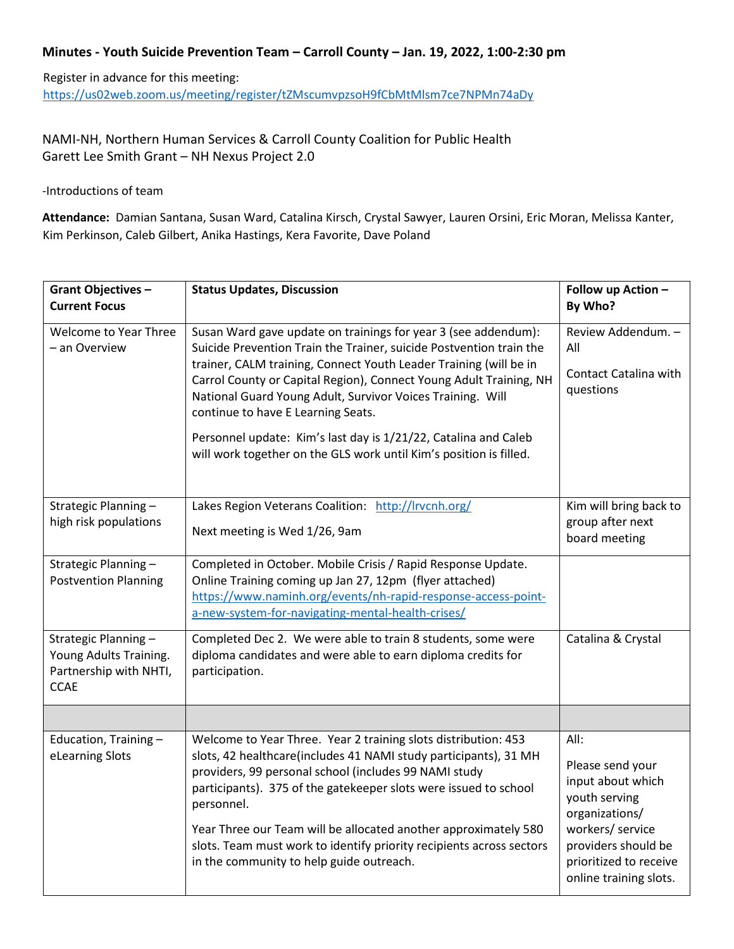#### **Minutes - Youth Suicide Prevention Team – Carroll County – Jan. 19, 2022, 1:00-2:30 pm**

Register in advance for this meeting: <https://us02web.zoom.us/meeting/register/tZMscumvpzsoH9fCbMtMlsm7ce7NPMn74aDy>

NAMI-NH, Northern Human Services & Carroll County Coalition for Public Health Garett Lee Smith Grant – NH Nexus Project 2.0

-Introductions of team

**Attendance:** Damian Santana, Susan Ward, Catalina Kirsch, Crystal Sawyer, Lauren Orsini, Eric Moran, Melissa Kanter, Kim Perkinson, Caleb Gilbert, Anika Hastings, Kera Favorite, Dave Poland

| <b>Grant Objectives -</b><br><b>Current Focus</b>                                       | <b>Status Updates, Discussion</b>                                                                                                                                                                                                                                                                                                                                                                                                                                                                                             | Follow up Action -<br>By Who?                                                                                                                                                   |
|-----------------------------------------------------------------------------------------|-------------------------------------------------------------------------------------------------------------------------------------------------------------------------------------------------------------------------------------------------------------------------------------------------------------------------------------------------------------------------------------------------------------------------------------------------------------------------------------------------------------------------------|---------------------------------------------------------------------------------------------------------------------------------------------------------------------------------|
| <b>Welcome to Year Three</b><br>– an Overview                                           | Susan Ward gave update on trainings for year 3 (see addendum):<br>Suicide Prevention Train the Trainer, suicide Postvention train the<br>trainer, CALM training, Connect Youth Leader Training (will be in<br>Carrol County or Capital Region), Connect Young Adult Training, NH<br>National Guard Young Adult, Survivor Voices Training. Will<br>continue to have E Learning Seats.<br>Personnel update: Kim's last day is 1/21/22, Catalina and Caleb<br>will work together on the GLS work until Kim's position is filled. | Review Addendum. -<br>All<br>Contact Catalina with<br>questions                                                                                                                 |
| Strategic Planning -<br>high risk populations                                           | Lakes Region Veterans Coalition: http://lrvcnh.org/<br>Next meeting is Wed 1/26, 9am                                                                                                                                                                                                                                                                                                                                                                                                                                          | Kim will bring back to<br>group after next<br>board meeting                                                                                                                     |
| Strategic Planning -<br><b>Postvention Planning</b>                                     | Completed in October. Mobile Crisis / Rapid Response Update.<br>Online Training coming up Jan 27, 12pm (flyer attached)<br>https://www.naminh.org/events/nh-rapid-response-access-point-<br>a-new-system-for-navigating-mental-health-crises/                                                                                                                                                                                                                                                                                 |                                                                                                                                                                                 |
| Strategic Planning -<br>Young Adults Training.<br>Partnership with NHTI,<br><b>CCAE</b> | Completed Dec 2. We were able to train 8 students, some were<br>diploma candidates and were able to earn diploma credits for<br>participation.                                                                                                                                                                                                                                                                                                                                                                                | Catalina & Crystal                                                                                                                                                              |
|                                                                                         |                                                                                                                                                                                                                                                                                                                                                                                                                                                                                                                               |                                                                                                                                                                                 |
| Education, Training-<br>eLearning Slots                                                 | Welcome to Year Three. Year 2 training slots distribution: 453<br>slots, 42 healthcare(includes 41 NAMI study participants), 31 MH<br>providers, 99 personal school (includes 99 NAMI study<br>participants). 375 of the gatekeeper slots were issued to school<br>personnel.<br>Year Three our Team will be allocated another approximately 580<br>slots. Team must work to identify priority recipients across sectors<br>in the community to help guide outreach.                                                          | All:<br>Please send your<br>input about which<br>youth serving<br>organizations/<br>workers/ service<br>providers should be<br>prioritized to receive<br>online training slots. |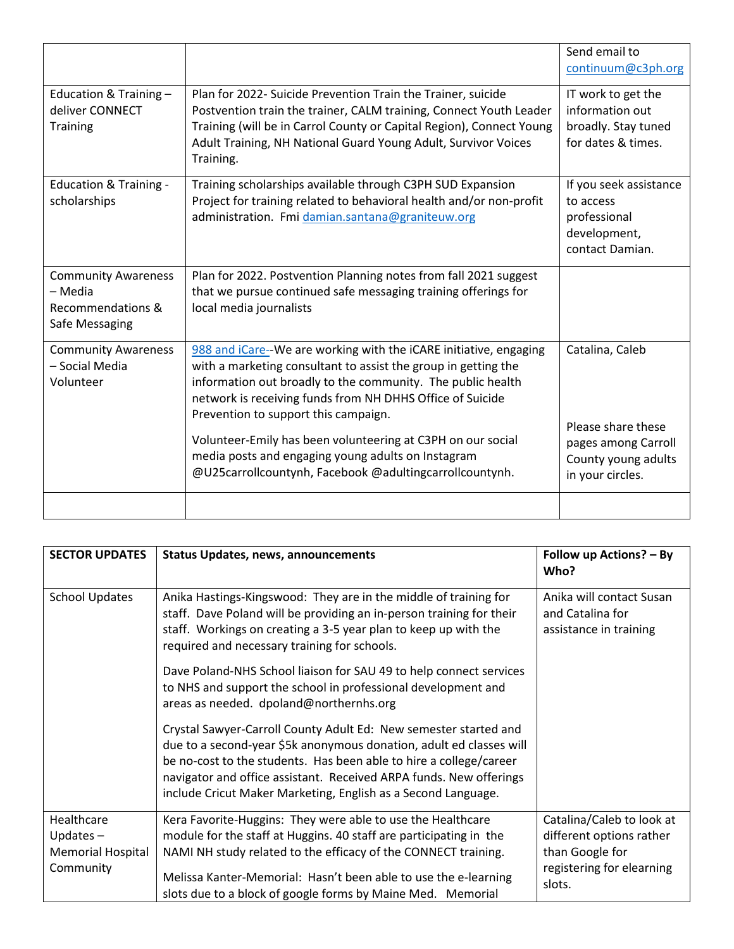|                                                                              |                                                                                                                                                                                                                                                                                                                                                                                                                                                                                         | Send email to<br>continuum@c3ph.org                                                                     |
|------------------------------------------------------------------------------|-----------------------------------------------------------------------------------------------------------------------------------------------------------------------------------------------------------------------------------------------------------------------------------------------------------------------------------------------------------------------------------------------------------------------------------------------------------------------------------------|---------------------------------------------------------------------------------------------------------|
| Education & Training-<br>deliver CONNECT<br><b>Training</b>                  | Plan for 2022- Suicide Prevention Train the Trainer, suicide<br>Postvention train the trainer, CALM training, Connect Youth Leader<br>Training (will be in Carrol County or Capital Region), Connect Young<br>Adult Training, NH National Guard Young Adult, Survivor Voices<br>Training.                                                                                                                                                                                               | IT work to get the<br>information out<br>broadly. Stay tuned<br>for dates & times.                      |
| <b>Education &amp; Training -</b><br>scholarships                            | Training scholarships available through C3PH SUD Expansion<br>Project for training related to behavioral health and/or non-profit<br>administration. Fmi damian.santana@graniteuw.org                                                                                                                                                                                                                                                                                                   | If you seek assistance<br>to access<br>professional<br>development,<br>contact Damian.                  |
| <b>Community Awareness</b><br>– Media<br>Recommendations &<br>Safe Messaging | Plan for 2022. Postvention Planning notes from fall 2021 suggest<br>that we pursue continued safe messaging training offerings for<br>local media journalists                                                                                                                                                                                                                                                                                                                           |                                                                                                         |
| <b>Community Awareness</b><br>- Social Media<br>Volunteer                    | 988 and iCare--We are working with the iCARE initiative, engaging<br>with a marketing consultant to assist the group in getting the<br>information out broadly to the community. The public health<br>network is receiving funds from NH DHHS Office of Suicide<br>Prevention to support this campaign.<br>Volunteer-Emily has been volunteering at C3PH on our social<br>media posts and engaging young adults on Instagram<br>@U25carrollcountynh, Facebook @adultingcarrollcountynh. | Catalina, Caleb<br>Please share these<br>pages among Carroll<br>County young adults<br>in your circles. |
|                                                                              |                                                                                                                                                                                                                                                                                                                                                                                                                                                                                         |                                                                                                         |

| <b>SECTOR UPDATES</b>                                              | <b>Status Updates, news, announcements</b>                                                                                                                                                                                                                                                                                                           | Follow up Actions? - By<br>Who?                                                                                 |
|--------------------------------------------------------------------|------------------------------------------------------------------------------------------------------------------------------------------------------------------------------------------------------------------------------------------------------------------------------------------------------------------------------------------------------|-----------------------------------------------------------------------------------------------------------------|
| <b>School Updates</b>                                              | Anika Hastings-Kingswood: They are in the middle of training for<br>staff. Dave Poland will be providing an in-person training for their<br>staff. Workings on creating a 3-5 year plan to keep up with the<br>required and necessary training for schools.                                                                                          | Anika will contact Susan<br>and Catalina for<br>assistance in training                                          |
|                                                                    | Dave Poland-NHS School liaison for SAU 49 to help connect services<br>to NHS and support the school in professional development and<br>areas as needed. dpoland@northernhs.org                                                                                                                                                                       |                                                                                                                 |
|                                                                    | Crystal Sawyer-Carroll County Adult Ed: New semester started and<br>due to a second-year \$5k anonymous donation, adult ed classes will<br>be no-cost to the students. Has been able to hire a college/career<br>navigator and office assistant. Received ARPA funds. New offerings<br>include Cricut Maker Marketing, English as a Second Language. |                                                                                                                 |
| Healthcare<br>Updates $-$<br><b>Memorial Hospital</b><br>Community | Kera Favorite-Huggins: They were able to use the Healthcare<br>module for the staff at Huggins. 40 staff are participating in the<br>NAMI NH study related to the efficacy of the CONNECT training.<br>Melissa Kanter-Memorial: Hasn't been able to use the e-learning<br>slots due to a block of google forms by Maine Med. Memorial                | Catalina/Caleb to look at<br>different options rather<br>than Google for<br>registering for elearning<br>slots. |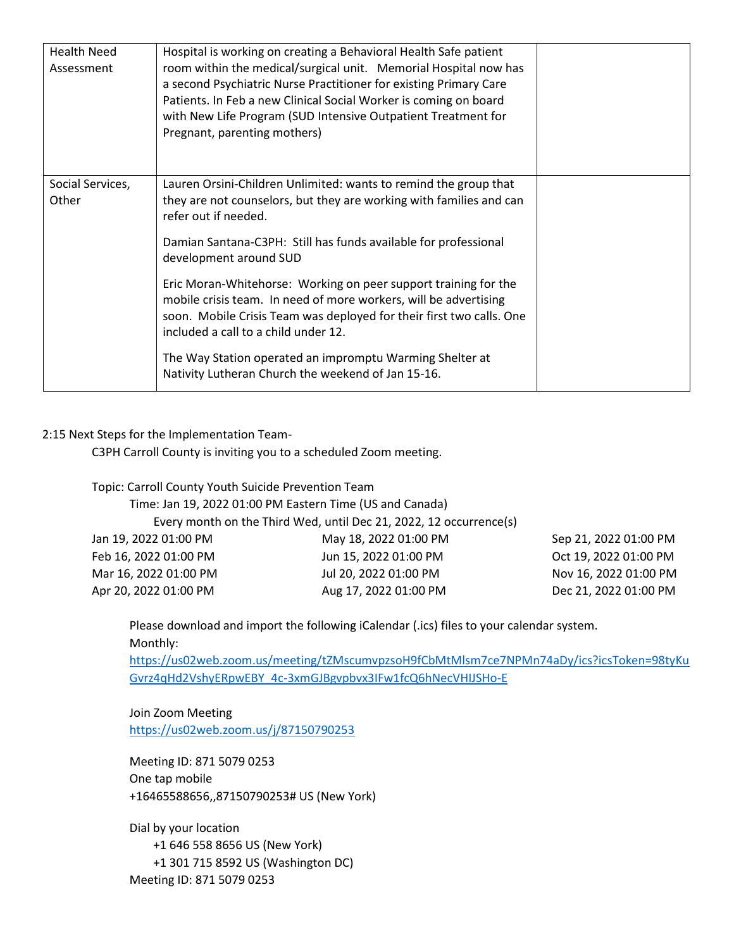| <b>Health Need</b><br>Assessment | Hospital is working on creating a Behavioral Health Safe patient<br>room within the medical/surgical unit. Memorial Hospital now has<br>a second Psychiatric Nurse Practitioner for existing Primary Care<br>Patients. In Feb a new Clinical Social Worker is coming on board<br>with New Life Program (SUD Intensive Outpatient Treatment for<br>Pregnant, parenting mothers) |  |
|----------------------------------|--------------------------------------------------------------------------------------------------------------------------------------------------------------------------------------------------------------------------------------------------------------------------------------------------------------------------------------------------------------------------------|--|
| Social Services,<br>Other        | Lauren Orsini-Children Unlimited: wants to remind the group that<br>they are not counselors, but they are working with families and can<br>refer out if needed.                                                                                                                                                                                                                |  |
|                                  | Damian Santana-C3PH: Still has funds available for professional<br>development around SUD                                                                                                                                                                                                                                                                                      |  |
|                                  | Eric Moran-Whitehorse: Working on peer support training for the<br>mobile crisis team. In need of more workers, will be advertising<br>soon. Mobile Crisis Team was deployed for their first two calls. One<br>included a call to a child under 12.                                                                                                                            |  |
|                                  | The Way Station operated an impromptu Warming Shelter at<br>Nativity Lutheran Church the weekend of Jan 15-16.                                                                                                                                                                                                                                                                 |  |

#### 2:15 Next Steps for the Implementation Team-

C3PH Carroll County is inviting you to a scheduled Zoom meeting.

Topic: Carroll County Youth Suicide Prevention Team Time: Jan 19, 2022 01:00 PM Eastern Time (US and Canada) Every month on the Third Wed, until Dec 21, 2022, 12 occurrence(s) Jan 19, 2022 01:00 PM Feb 16, 2022 01:00 PM Mar 16, 2022 01:00 PM Apr 20, 2022 01:00 PM May 18, 2022 01:00 PM Jun 15, 2022 01:00 PM Jul 20, 2022 01:00 PM Aug 17, 2022 01:00 PM Sep 21, 2022 01:00 PM Oct 19, 2022 01:00 PM Nov 16, 2022 01:00 PM Dec 21, 2022 01:00 PM

Please download and import the following iCalendar (.ics) files to your calendar system. Monthly:

[https://us02web.zoom.us/meeting/tZMscumvpzsoH9fCbMtMlsm7ce7NPMn74aDy/ics?icsToken=98tyKu](https://us02web.zoom.us/meeting/tZMscumvpzsoH9fCbMtMlsm7ce7NPMn74aDy/ics?icsToken=98tyKuGvrz4qHd2VshyERpwEBY_4c-3xmGJBgvpbvx3IFw1fcQ6hNecVHIJSHo-E) [Gvrz4qHd2VshyERpwEBY\\_4c-3xmGJBgvpbvx3IFw1fcQ6hNecVHIJSHo-E](https://us02web.zoom.us/meeting/tZMscumvpzsoH9fCbMtMlsm7ce7NPMn74aDy/ics?icsToken=98tyKuGvrz4qHd2VshyERpwEBY_4c-3xmGJBgvpbvx3IFw1fcQ6hNecVHIJSHo-E)

Join Zoom Meeting <https://us02web.zoom.us/j/87150790253>

Meeting ID: 871 5079 0253 One tap mobile +16465588656,,87150790253# US (New York)

Dial by your location +1 646 558 8656 US (New York) +1 301 715 8592 US (Washington DC) Meeting ID: 871 5079 0253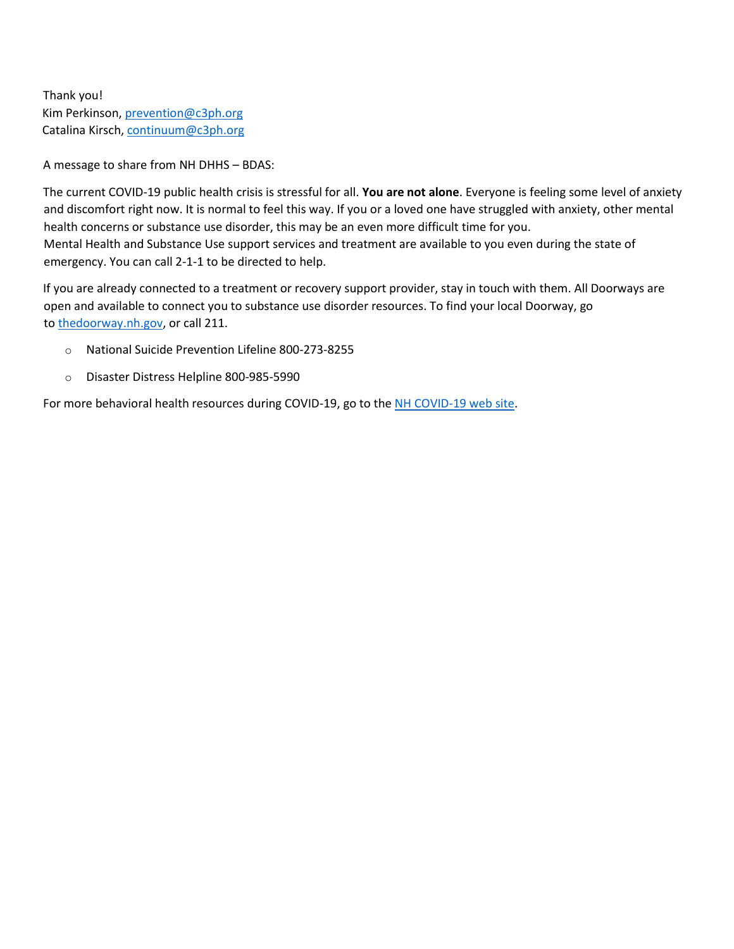Thank you! Kim Perkinson, prevention@c3ph.org Catalina Kirsch, continuum@c3ph.org

A message to share from NH DHHS – BDAS:

The current COVID-19 public health crisis is stressful for all. **You are not alone**. Everyone is feeling some level of anxiety and discomfort right now. It is normal to feel this way. If you or a loved one have struggled with anxiety, other mental health concerns or substance use disorder, this may be an even more difficult time for you. Mental Health and Substance Use support services and treatment are available to you even during the state of emergency. You can call 2-1-1 to be directed to help.

If you are already connected to a treatment or recovery support provider, stay in touch with them. All Doorways are open and available to connect you to substance use disorder resources. To find your local Doorway, go to [thedoorway.nh.gov,](https://www.thedoorway.nh.gov/) or call 211.

- o National Suicide Prevention Lifeline 800-273-8255
- o Disaster Distress Helpline 800-985-5990

For more behavioral health resources during COVID-19, go to the [NH COVID-19 web site.](https://www.covid19.nh.gov/mental-health-resources)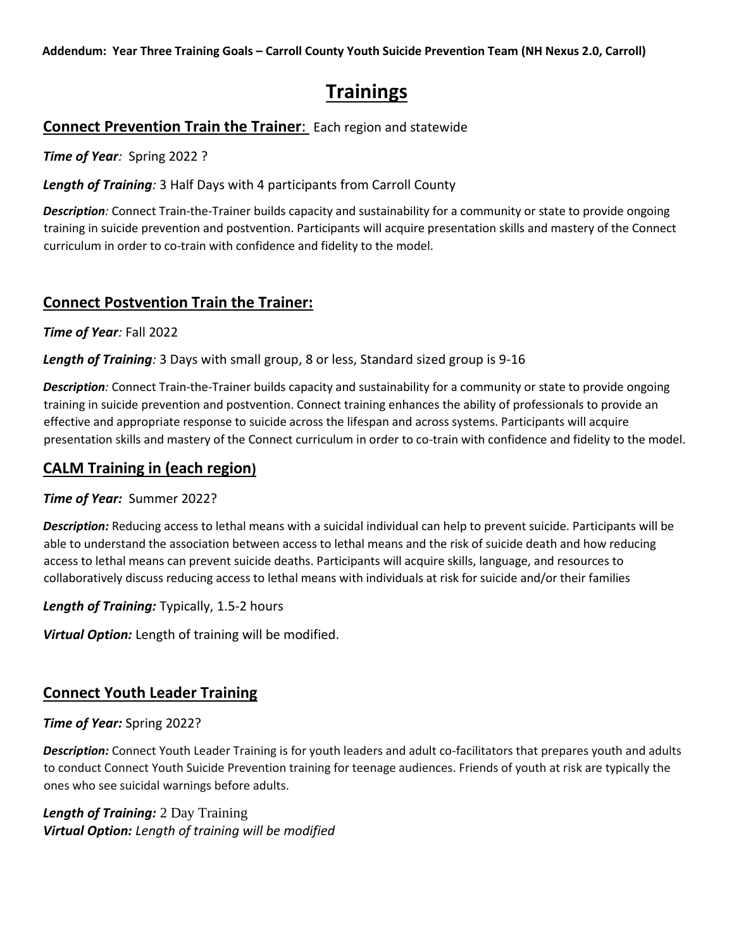**Addendum: Year Three Training Goals – Carroll County Youth Suicide Prevention Team (NH Nexus 2.0, Carroll)**

# **Trainings**

## **Connect Prevention Train the Trainer**: Each region and statewide

*Time of Year:* Spring 2022 ?

*Length of Training:* 3 Half Days with 4 participants from Carroll County

*Description:* Connect Train-the-Trainer builds capacity and sustainability for a community or state to provide ongoing training in suicide prevention and postvention. Participants will acquire presentation skills and mastery of the Connect curriculum in order to co-train with confidence and fidelity to the model.

## **Connect Postvention Train the Trainer:**

*Time of Year:* Fall 2022

*Length of Training:* 3 Days with small group, 8 or less, Standard sized group is 9-16

*Description:* Connect Train-the-Trainer builds capacity and sustainability for a community or state to provide ongoing training in suicide prevention and postvention. Connect training enhances the ability of professionals to provide an effective and appropriate response to suicide across the lifespan and across systems. Participants will acquire presentation skills and mastery of the Connect curriculum in order to co-train with confidence and fidelity to the model.

## **CALM Training in (each region)**

#### *Time of Year:* Summer 2022?

*Description:* Reducing access to lethal means with a suicidal individual can help to prevent suicide. Participants will be able to understand the association between access to lethal means and the risk of suicide death and how reducing access to lethal means can prevent suicide deaths. Participants will acquire skills, language, and resources to collaboratively discuss reducing access to lethal means with individuals at risk for suicide and/or their families

*Length of Training:* Typically, 1.5-2 hours

*Virtual Option:* Length of training will be modified.

## **Connect Youth Leader Training**

#### *Time of Year:* Spring 2022?

*Description:* Connect Youth Leader Training is for youth leaders and adult co-facilitators that prepares youth and adults to conduct Connect Youth Suicide Prevention training for teenage audiences. Friends of youth at risk are typically the ones who see suicidal warnings before adults.

#### *Length of Training:* 2 Day Training *Virtual Option: Length of training will be modified*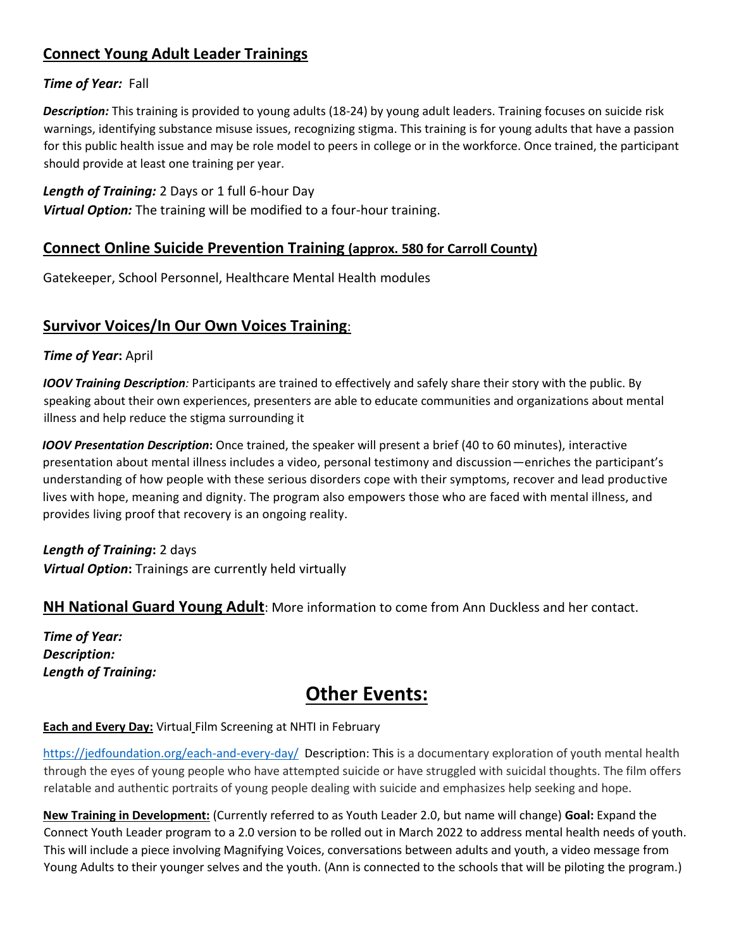# **Connect Young Adult Leader Trainings**

#### *Time of Year:* Fall

*Description:* This training is provided to young adults (18-24) by young adult leaders. Training focuses on suicide risk warnings, identifying substance misuse issues, recognizing stigma. This training is for young adults that have a passion for this public health issue and may be role model to peers in college or in the workforce. Once trained, the participant should provide at least one training per year.

*Length of Training:* 2 Days or 1 full 6-hour Day *Virtual Option:* The training will be modified to a four-hour training.

#### **Connect Online Suicide Prevention Training (approx. 580 for Carroll County)**

Gatekeeper, School Personnel, Healthcare Mental Health modules

### **Survivor Voices/In Our Own Voices Training**:

#### *Time of Year***:** April

*IOOV Training Description:* Participants are trained to effectively and safely share their story with the public. By speaking about their own experiences, presenters are able to educate communities and organizations about mental illness and help reduce the stigma surrounding it

*IOOV Presentation Description***:** Once trained, the speaker will present a brief (40 to 60 minutes), interactive presentation about mental illness includes a video, personal testimony and discussion—enriches the participant's understanding of how people with these serious disorders cope with their symptoms, recover and lead productive lives with hope, meaning and dignity. The program also empowers those who are faced with mental illness, and provides living proof that recovery is an ongoing reality.

#### *Length of Training***:** 2 days

*Virtual Option***:** Trainings are currently held virtually

#### **NH National Guard Young Adult**: More information to come from Ann Duckless and her contact.

*Time of Year: Description: Length of Training:*

# **Other Events:**

#### **Each and Every Day: Virtual Film Screening at NHTI in February**

<https://jedfoundation.org/each-and-every-day/>Description: This is a documentary exploration of youth mental health through the eyes of young people who have attempted suicide or have struggled with suicidal thoughts. The film offers relatable and authentic portraits of young people dealing with suicide and emphasizes help seeking and hope.

**New Training in Development:** (Currently referred to as Youth Leader 2.0, but name will change) **Goal:** Expand the Connect Youth Leader program to a 2.0 version to be rolled out in March 2022 to address mental health needs of youth. This will include a piece involving Magnifying Voices, conversations between adults and youth, a video message from Young Adults to their younger selves and the youth. (Ann is connected to the schools that will be piloting the program.)